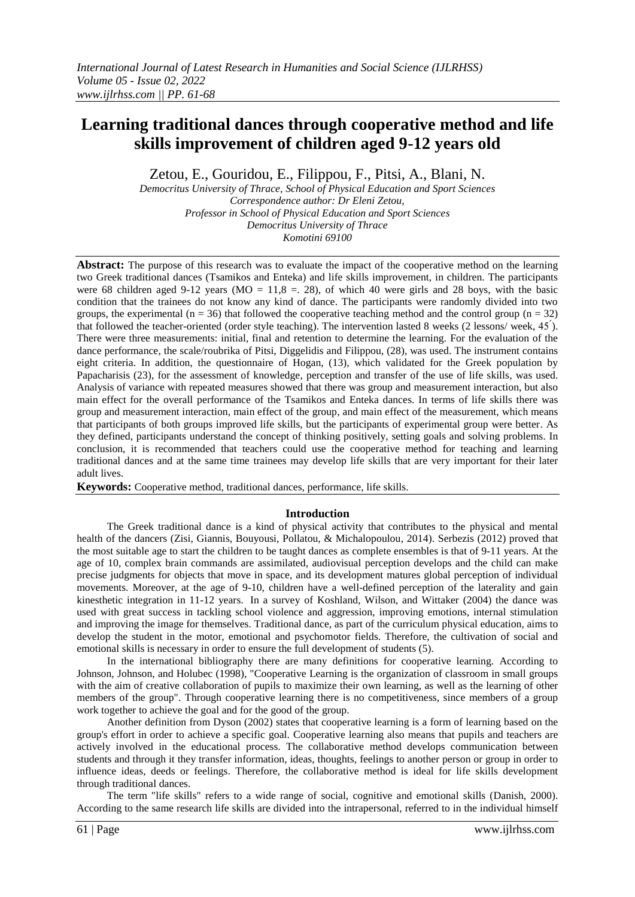# **Learning traditional dances through cooperative method and life skills improvement of children aged 9-12 years old**

Zetou, E., Gouridou, E., Filippou, F., Pitsi, A., Blani, N.

*Democritus University of Thrace, School of Physical Education and Sport Sciences Correspondence author: Dr Eleni Zetou, Professor in School of Physical Education and Sport Sciences Democritus University of Thrace Komotini 69100*

**Abstract:** The purpose of this research was to evaluate the impact of the cooperative method on the learning two Greek traditional dances (Tsamikos and Enteka) and life skills improvement, in children. The participants were 68 children aged 9-12 years ( $MO = 11.8 = 28$ ), of which 40 were girls and 28 boys, with the basic condition that the trainees do not know any kind of dance. The participants were randomly divided into two groups, the experimental ( $n = 36$ ) that followed the cooperative teaching method and the control group ( $n = 32$ ) that followed the teacher-oriented (order style teaching). The intervention lasted 8 weeks (2 lessons/ week, 45). There were three measurements: initial, final and retention to determine the learning. For the evaluation of the dance performance, the scale/roubrika of Pitsi, Diggelidis and Filippou, (28), was used. The instrument contains eight criteria. In addition, the questionnaire of Hogan, (13), which validated for the Greek population by Papacharisis (23), for the assessment of knowledge, perception and transfer of the use of life skills, was used. Analysis of variance with repeated measures showed that there was group and measurement interaction, but also main effect for the overall performance of the Tsamikos and Enteka dances. In terms of life skills there was group and measurement interaction, main effect of the group, and main effect of the measurement, which means that participants of both groups improved life skills, but the participants of experimental group were better. As they defined, participants understand the concept of thinking positively, setting goals and solving problems. In conclusion, it is recommended that teachers could use the cooperative method for teaching and learning traditional dances and at the same time trainees may develop life skills that are very important for their later adult lives.

**Keywords:** Cooperative method, traditional dances, performance, life skills.

### **Introduction**

The Greek traditional dance is a kind of physical activity that contributes to the physical and mental health of the dancers (Zisi, Giannis, Bouyousi, Pollatou, & Michalopoulou, 2014). Serbezis (2012) proved that the most suitable age to start the children to be taught dances as complete ensembles is that of 9-11 years. At the age of 10, complex brain commands are assimilated, audiovisual perception develops and the child can make precise judgments for objects that move in space, and its development matures global perception of individual movements. Moreover, at the age of 9-10, children have a well-defined perception of the laterality and gain kinesthetic integration in 11-12 years. In a survey of Koshland, Wilson, and Wittaker (2004) the dance was used with great success in tackling school violence and aggression, improving emotions, internal stimulation and improving the image for themselves. Traditional dance, as part of the curriculum physical education, aims to develop the student in the motor, emotional and psychomotor fields. Therefore, the cultivation of social and emotional skills is necessary in order to ensure the full development of students (5).

In the international bibliography there are many definitions for cooperative learning. According to Johnson, Johnson, and Holubec (1998), "Cooperative Learning is the organization of classroom in small groups with the aim of creative collaboration of pupils to maximize their own learning, as well as the learning of other members of the group". Through cooperative learning there is no competitiveness, since members of a group work together to achieve the goal and for the good of the group.

Another definition from Dyson (2002) states that cooperative learning is a form of learning based on the group's effort in order to achieve a specific goal. Cooperative learning also means that pupils and teachers are actively involved in the educational process. The collaborative method develops communication between students and through it they transfer information, ideas, thoughts, feelings to another person or group in order to influence ideas, deeds or feelings. Therefore, the collaborative method is ideal for life skills development through traditional dances.

The term "life skills" refers to a wide range of social, cognitive and emotional skills (Danish, 2000). According to the same research life skills are divided into the intrapersonal, referred to in the individual himself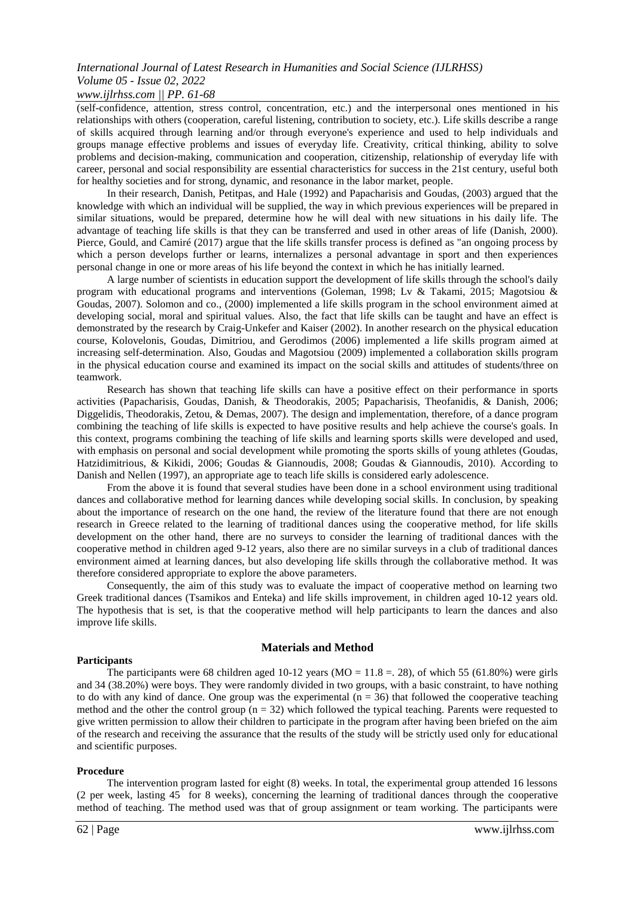## *www.ijlrhss.com || PP. 61-68*

(self-confidence, attention, stress control, concentration, etc.) and the interpersonal ones mentioned in his relationships with others (cooperation, careful listening, contribution to society, etc.). Life skills describe a range of skills acquired through learning and/or through everyone's experience and used to help individuals and groups manage effective problems and issues of everyday life. Creativity, critical thinking, ability to solve problems and decision-making, communication and cooperation, citizenship, relationship of everyday life with career, personal and social responsibility are essential characteristics for success in the 21st century, useful both for healthy societies and for strong, dynamic, and resonance in the labor market, people.

In their research, Danish, Petitpas, and Hale (1992) and Papacharisis and Goudas, (2003) argued that the knowledge with which an individual will be supplied, the way in which previous experiences will be prepared in similar situations, would be prepared, determine how he will deal with new situations in his daily life. The advantage of teaching life skills is that they can be transferred and used in other areas of life (Danish, 2000). Pierce, Gould, and Camiré (2017) argue that the life skills transfer process is defined as "an ongoing process by which a person develops further or learns, internalizes a personal advantage in sport and then experiences personal change in one or more areas of his life beyond the context in which he has initially learned.

A large number of scientists in education support the development of life skills through the school's daily program with educational programs and interventions (Goleman, 1998; Lv & Takami, 2015; Magotsiou & Goudas, 2007). Solomon and co., (2000) implemented a life skills program in the school environment aimed at developing social, moral and spiritual values. Also, the fact that life skills can be taught and have an effect is demonstrated by the research by Craig-Unkefer and Kaiser (2002). In another research on the physical education course, Kolovelonis, Goudas, Dimitriou, and Gerodimos (2006) implemented a life skills program aimed at increasing self-determination. Also, Goudas and Magotsiou (2009) implemented a collaboration skills program in the physical education course and examined its impact on the social skills and attitudes of students/three on teamwork.

Research has shown that teaching life skills can have a positive effect on their performance in sports activities (Papacharisis, Goudas, Danish, & Theodorakis, 2005; Papacharisis, Theofanidis, & Danish, 2006; Diggelidis, Theodorakis, Zetou, & Demas, 2007). The design and implementation, therefore, of a dance program combining the teaching of life skills is expected to have positive results and help achieve the course's goals. In this context, programs combining the teaching of life skills and learning sports skills were developed and used, with emphasis on personal and social development while promoting the sports skills of young athletes (Goudas, Hatzidimitrious, & Kikidi, 2006; Goudas & Giannoudis, 2008; Goudas & Giannoudis, 2010). According to Danish and Nellen (1997), an appropriate age to teach life skills is considered early adolescence.

From the above it is found that several studies have been done in a school environment using traditional dances and collaborative method for learning dances while developing social skills. In conclusion, by speaking about the importance of research on the one hand, the review of the literature found that there are not enough research in Greece related to the learning of traditional dances using the cooperative method, for life skills development on the other hand, there are no surveys to consider the learning of traditional dances with the cooperative method in children aged 9-12 years, also there are no similar surveys in a club of traditional dances environment aimed at learning dances, but also developing life skills through the collaborative method. It was therefore considered appropriate to explore the above parameters.

Consequently, the aim of this study was to evaluate the impact of cooperative method on learning two Greek traditional dances (Tsamikos and Enteka) and life skills improvement, in children aged 10-12 years old. The hypothesis that is set, is that the cooperative method will help participants to learn the dances and also improve life skills.

#### **Materials and Method**

#### **Participants**

The participants were 68 children aged 10-12 years ( $MO = 11.8 = 0.28$ ), of which 55 (61.80%) were girls and 34 (38.20%) were boys. They were randomly divided in two groups, with a basic constraint, to have nothing to do with any kind of dance. One group was the experimental  $(n = 36)$  that followed the cooperative teaching method and the other the control group  $(n = 32)$  which followed the typical teaching. Parents were requested to give written permission to allow their children to participate in the program after having been briefed on the aim of the research and receiving the assurance that the results of the study will be strictly used only for educational and scientific purposes.

#### **Procedure**

The intervention program lasted for eight (8) weeks. In total, the experimental group attended 16 lessons (2 per week, lasting 45 ́ for 8 weeks), concerning the learning of traditional dances through the cooperative method of teaching. The method used was that of group assignment or team working. The participants were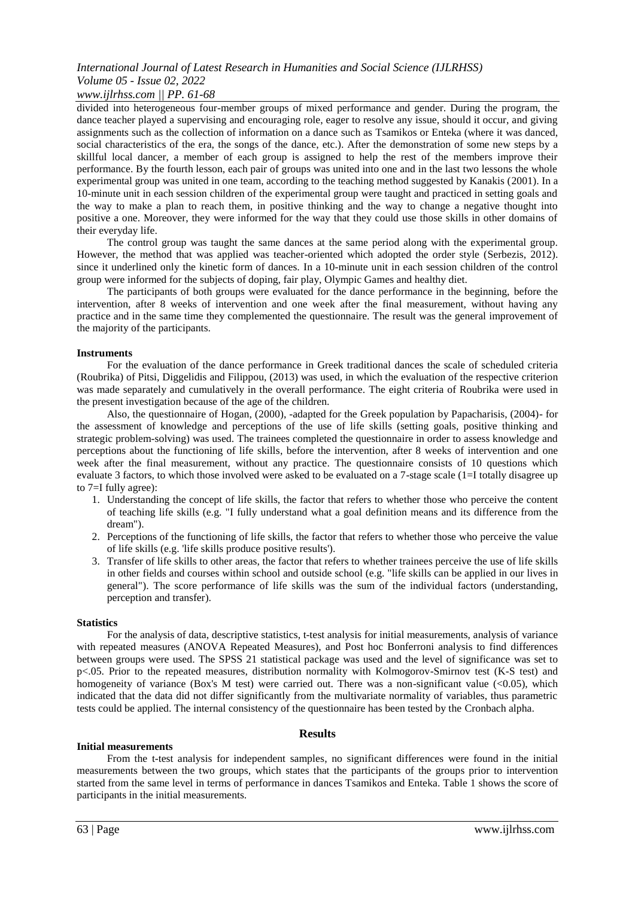#### *www.ijlrhss.com || PP. 61-68*

divided into heterogeneous four-member groups of mixed performance and gender. During the program, the dance teacher played a supervising and encouraging role, eager to resolve any issue, should it occur, and giving assignments such as the collection of information on a dance such as Tsamikos or Enteka (where it was danced, social characteristics of the era, the songs of the dance, etc.). After the demonstration of some new steps by a skillful local dancer, a member of each group is assigned to help the rest of the members improve their performance. By the fourth lesson, each pair of groups was united into one and in the last two lessons the whole experimental group was united in one team, according to the teaching method suggested by Kanakis (2001). In a 10-minute unit in each session children of the experimental group were taught and practiced in setting goals and the way to make a plan to reach them, in positive thinking and the way to change a negative thought into positive a one. Moreover, they were informed for the way that they could use those skills in other domains of their everyday life.

The control group was taught the same dances at the same period along with the experimental group. However, the method that was applied was teacher-oriented which adopted the order style (Serbezis, 2012). since it underlined only the kinetic form of dances. In a 10-minute unit in each session children of the control group were informed for the subjects of doping, fair play, Olympic Games and healthy diet.

The participants of both groups were evaluated for the dance performance in the beginning, before the intervention, after 8 weeks of intervention and one week after the final measurement, without having any practice and in the same time they complemented the questionnaire. The result was the general improvement of the majority of the participants.

#### **Instruments**

For the evaluation of the dance performance in Greek traditional dances the scale of scheduled criteria (Roubrika) of Pitsi, Diggelidis and Filippou, (2013) was used, in which the evaluation of the respective criterion was made separately and cumulatively in the overall performance. The eight criteria of Roubrika were used in the present investigation because of the age of the children.

Also, the questionnaire of Hogan, (2000), -adapted for the Greek population by Papacharisis, (2004)- for the assessment of knowledge and perceptions of the use of life skills (setting goals, positive thinking and strategic problem-solving) was used. The trainees completed the questionnaire in order to assess knowledge and perceptions about the functioning of life skills, before the intervention, after 8 weeks of intervention and one week after the final measurement, without any practice. The questionnaire consists of 10 questions which evaluate 3 factors, to which those involved were asked to be evaluated on a 7-stage scale (1=I totally disagree up to 7=I fully agree):

- 1. Understanding the concept of life skills, the factor that refers to whether those who perceive the content of teaching life skills (e.g. "I fully understand what a goal definition means and its difference from the dream").
- 2. Perceptions of the functioning of life skills, the factor that refers to whether those who perceive the value of life skills (e.g. 'life skills produce positive results').
- 3. Transfer of life skills to other areas, the factor that refers to whether trainees perceive the use of life skills in other fields and courses within school and outside school (e.g. "life skills can be applied in our lives in general"). The score performance of life skills was the sum of the individual factors (understanding, perception and transfer).

#### **Statistics**

For the analysis of data, descriptive statistics, t-test analysis for initial measurements, analysis of variance with repeated measures (ANOVA Repeated Measures), and Post hoc Bonferroni analysis to find differences between groups were used. The SPSS 21 statistical package was used and the level of significance was set to p<.05. Prior to the repeated measures, distribution normality with Kolmogorov-Smirnov test (K-S test) and homogeneity of variance (Box's M test) were carried out. There was a non-significant value (<0.05), which indicated that the data did not differ significantly from the multivariate normality of variables, thus parametric tests could be applied. The internal consistency of the questionnaire has been tested by the Cronbach alpha.

#### **Results**

#### **Initial measurements**

From the t-test analysis for independent samples, no significant differences were found in the initial measurements between the two groups, which states that the participants of the groups prior to intervention started from the same level in terms of performance in dances Tsamikos and Enteka. Table 1 shows the score of participants in the initial measurements.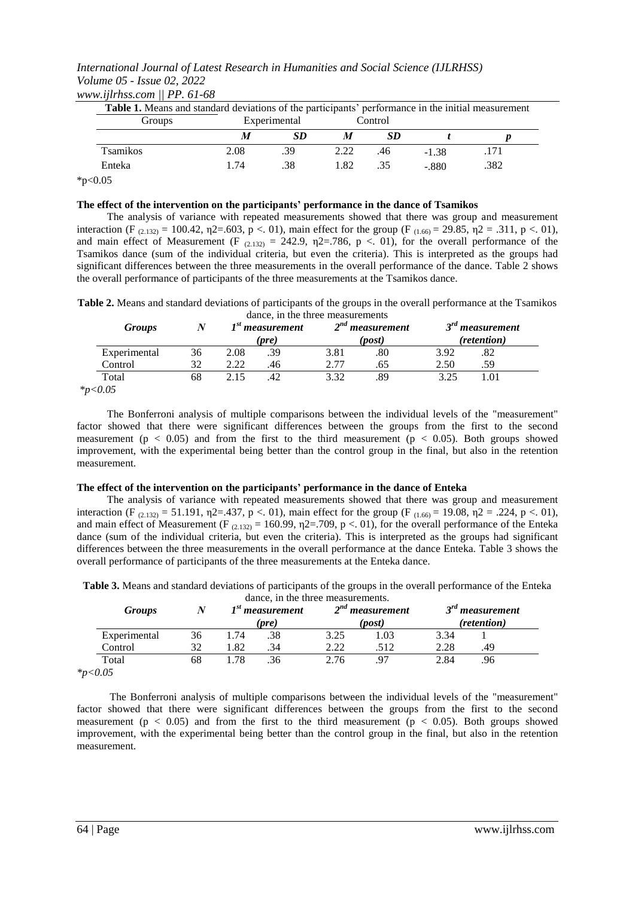*International Journal of Latest Research in Humanities and Social Science (IJLRHSS) Volume 05 - Issue 02, 2022 www.ijlrhss.com || PP. 61-68*

| Groups           |      | Experimental<br>Control |      |     |         |      |
|------------------|------|-------------------------|------|-----|---------|------|
|                  | М    | SD                      | M    | SD  |         |      |
| <b>T</b> samikos | 2.08 | -39                     | 2.22 | .46 | $-1.38$ | .171 |
| Enteka           | 1.74 | .38                     | 1.82 | .35 | $-.880$ | .382 |

**The effect of the intervention on the participants' performance in the dance of Tsamikos** The analysis of variance with repeated measurements showed that there was group and measurement interaction (F  $_{(2.132)}$  = 100.42,  $\eta$ 2=.603, p <. 01), main effect for the group (F  $_{(1.66)}$  = 29.85,  $\eta$ 2 = .311, p <. 01), and main effect of Measurement (F  $_{(2,132)} = 242.9$ ,  $\eta$ 2=.786, p <. 01), for the overall performance of the Tsamikos dance (sum of the individual criteria, but even the criteria). This is interpreted as the groups had significant differences between the three measurements in the overall performance of the dance. Table 2 shows the overall performance of participants of the three measurements at the Tsamikos dance.

**Table 2.** Means and standard deviations of participants of the groups in the overall performance at the Tsamikos dance, in the three measurements

| <b>Groups</b> |    |      | adiley, in the time incasurements<br>$Ist$ measurement<br>(pre) |      | $2nd$ measurement<br>(post) |      | $3rd$ measurement<br>(retention) |
|---------------|----|------|-----------------------------------------------------------------|------|-----------------------------|------|----------------------------------|
| Experimental  | 36 | 2.08 | .39                                                             | 3.81 | .80                         | 3.92 | .82                              |
| Control       | 32 | 2.22 | .46                                                             | 2.77 | .65                         | 2.50 | .59                              |
| Total         | 68 | 2.15 |                                                                 | 3.32 | .89                         | 3.25 | 1.01                             |
| $*_{p< 0.05}$ |    |      |                                                                 |      |                             |      |                                  |

The Bonferroni analysis of multiple comparisons between the individual levels of the "measurement" factor showed that there were significant differences between the groups from the first to the second measurement ( $p < 0.05$ ) and from the first to the third measurement ( $p < 0.05$ ). Both groups showed improvement, with the experimental being better than the control group in the final, but also in the retention measurement.

#### **The effect of the intervention on the participants' performance in the dance of Enteka**

The analysis of variance with repeated measurements showed that there was group and measurement interaction (F  $_{(2.132)}$  = 51.191,  $\eta$ 2=.437, p <. 01), main effect for the group (F  $_{(1.66)}$  = 19.08,  $\eta$ 2 = .224, p <. 01), and main effect of Measurement (F  $_{(2.132)} = 160.99$ ,  $\eta$ 2=.709, p <. 01), for the overall performance of the Enteka dance (sum of the individual criteria, but even the criteria). This is interpreted as the groups had significant differences between the three measurements in the overall performance at the dance Enteka. Table 3 shows the overall performance of participants of the three measurements at the Enteka dance.

**Table 3.** Means and standard deviations of participants of the groups in the overall performance of the Enteka dance, in the three measurements.

| <b>Groups</b> | N  |      | aance, in the time measurements.<br>$Ist$ measurement |      | $2nd$ measurement |      | $2^{rd}$<br>measurement |  |
|---------------|----|------|-------------------------------------------------------|------|-------------------|------|-------------------------|--|
|               |    |      | (pre)                                                 |      | (post)            |      | (retention)             |  |
| Experimental  | 36 | 1.74 | .38                                                   | 3.25 | .03               | 3.34 |                         |  |
| Control       | 32 | .82  | .34                                                   | 2.22 | .512              | 2.28 | .49                     |  |
| Total         | 68 | .78  | .36                                                   | 2.76 |                   | 2.84 | .96                     |  |
| $*_{p<0.05}$  |    |      |                                                       |      |                   |      |                         |  |

The Bonferroni analysis of multiple comparisons between the individual levels of the "measurement" factor showed that there were significant differences between the groups from the first to the second measurement ( $p < 0.05$ ) and from the first to the third measurement ( $p < 0.05$ ). Both groups showed improvement, with the experimental being better than the control group in the final, but also in the retention measurement.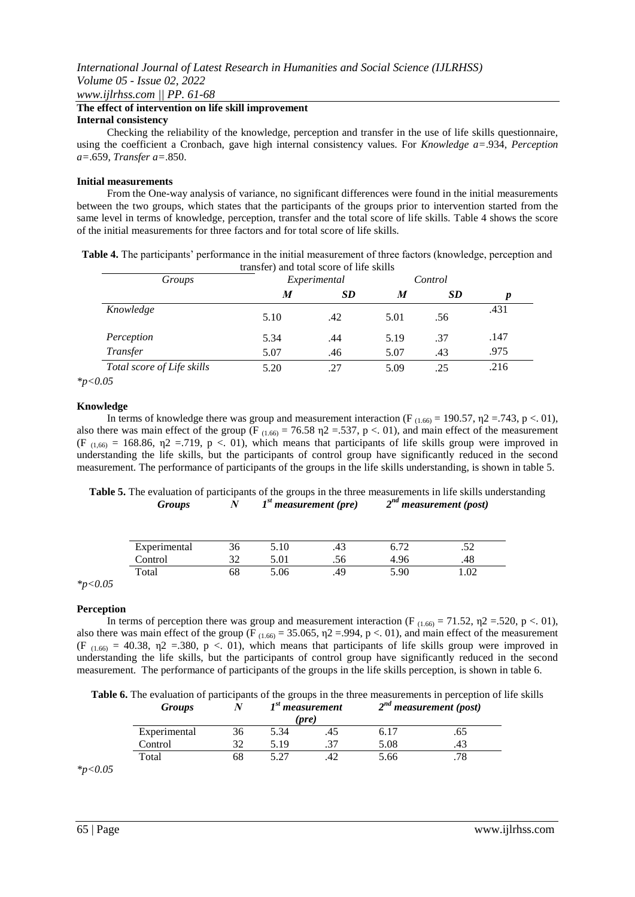*www.ijlrhss.com || PP. 61-68*

#### **The effect of intervention on life skill improvement Internal consistency**

Checking the reliability of the knowledge, perception and transfer in the use of life skills questionnaire, using the coefficient a Cronbach, gave high internal consistency values. For *Knowledge a=*.934, *Perception a=*.659, *Transfer a=*.850.

#### **Initial measurements**

From the One-way analysis of variance, no significant differences were found in the initial measurements between the two groups, which states that the participants of the groups prior to intervention started from the same level in terms of knowledge, perception, transfer and the total score of life skills. Table 4 shows the score of the initial measurements for three factors and for total score of life skills.

**Table 4.** The participants' performance in the initial measurement of three factors (knowledge, perception and transfer) and total score of life skills

| Groups                     |      | Experimental |      | Control   |      |
|----------------------------|------|--------------|------|-----------|------|
|                            | M    | <b>SD</b>    | M    | <b>SD</b> | р    |
| Knowledge                  | 5.10 | .42          | 5.01 | .56       | .431 |
| Perception                 | 5.34 | .44          | 5.19 | .37       | .147 |
| Transfer                   | 5.07 | .46          | 5.07 | .43       | .975 |
| Total score of Life skills | 5.20 | .27          | 5.09 | .25       | .216 |
| $\Lambda$ $\Gamma$         |      |              |      |           |      |

*\*p<0.05*

#### **Knowledge**

In terms of knowledge there was group and measurement interaction (F<sub>(1.66)</sub> = 190.57,  $\eta$ 2 = 743, p < 01), also there was main effect of the group (F<sub>(1.66)</sub> = 76.58  $\eta$ 2 = 537, p < 01), and main effect of the measurement (F<sub>(1,66)</sub> = 168.86,  $\eta$ 2 = 719, p < 01), which means that participants of life skills group were improved in understanding the life skills, but the participants of control group have significantly reduced in the second measurement. The performance of participants of the groups in the life skills understanding, is shown in table 5.

**Table 5.** The evaluation of participants of the groups in the three measurements in life skills understanding *Groups Ν 1 st measurement (pre) 2 nd measurement (post)*

| Experimental | 36 | 5.10 | .43  |      | تەر. |
|--------------|----|------|------|------|------|
| Control      |    | .01  | ں ر. | 4.96 |      |
| Total        | 58 | ۔06  | .49  | 5.90 | 1.02 |

*\*p<0.05*

#### **Perception**

In terms of perception there was group and measurement interaction (F<sub>(1.66)</sub> = 71.52,  $\eta$ 2 = 520, p <. 01), also there was main effect of the group (F<sub>(1.66)</sub> = 35.065,  $\eta$ 2 = 994, p < 01), and main effect of the measurement (F<sub>(1.66)</sub> = 40.38,  $\eta$ 2 = 380, p < 01), which means that participants of life skills group were improved in understanding the life skills, but the participants of control group have significantly reduced in the second measurement. The performance of participants of the groups in the life skills perception, is shown in table 6.

**Table 6.** The evaluation of participants of the groups in the three measurements in perception of life skills *Groups Ν 1 st measurement 2 nd measurement (post)*

| ------       | . . | 'pre |     |      | $=$ $$ $$ $$ $$ $$ $$ $$ $$ $$ |
|--------------|-----|------|-----|------|--------------------------------|
| Experimental | 36  | 5.34 | .4J |      | .o                             |
| Control      | 20  | 5.19 |     | 5.08 | .43                            |
| Total        | b8  | 5.27 |     | 5.66 | .78                            |

*\*p<0.05*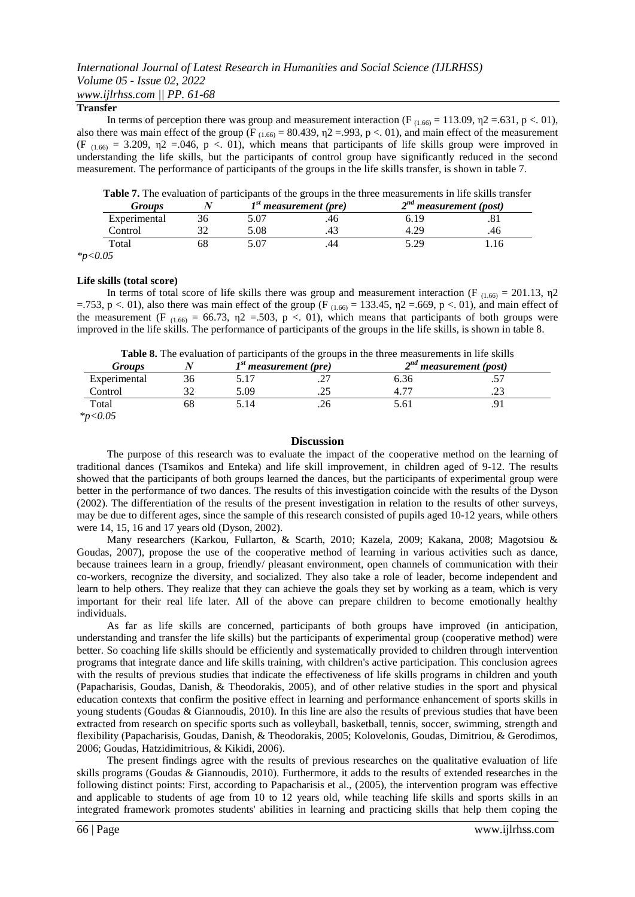### *International Journal of Latest Research in Humanities and Social Science (IJLRHSS) Volume 05 - Issue 02, 2022 www.ijlrhss.com || PP. 61-68*

#### **Transfer**

In terms of perception there was group and measurement interaction (F  $_{(1.66)} = 113.09$ ,  $\eta$ 2 = .631, p < .01), also there was main effect of the group (F<sub>(1.66)</sub> = 80.439,  $\eta$ 2 = 993, p < 01), and main effect of the measurement (F<sub>(1.66)</sub> = 3.209,  $\eta$ 2 = 0.046, p < 0.1), which means that participants of life skills group were improved in understanding the life skills, but the participants of control group have significantly reduced in the second measurement. The performance of participants of the groups in the life skills transfer, is shown in table 7.

**Table 7.** The evaluation of participants of the groups in the three measurements in life skills transfer

|                      | Groups       |     | $1st$ measurement (pre) |    | $2^{nd}$ measurement (post) |     |
|----------------------|--------------|-----|-------------------------|----|-----------------------------|-----|
|                      | Experimental | 36. | 5.07                    | 40 | 6.19                        | .٥  |
|                      | Control      |     | 5.08                    |    |                             | .40 |
|                      | Total        | DС  |                         |    | 5.29                        | 16  |
| $\sim$ $\sim$ $\sim$ |              |     |                         |    |                             |     |

*\*p<0.05*

#### **Life skills (total score)**

In terms of total score of life skills there was group and measurement interaction (F  $_{(1.66)} = 201.13$ ,  $\eta$ 2 =.753, p <. 01), also there was main effect of the group (F  $_{(1.66)}$  = 133.45,  $\eta$ 2 =.669, p <. 01), and main effect of the measurement (F  $_{(1.66)} = 66.73$ ,  $\eta$ 2 = 503, p < 01), which means that participants of both groups were improved in the life skills. The performance of participants of the groups in the life skills, is shown in table 8.

**Table 8.** The evaluation of participants of the groups in the three measurements in life skills

| Groups       |    | I <sup>st</sup> measurement (pre) |       | <u>Aware of the evaluation of participatio of the groups in the three measurements in the sithf</u><br>$2nd$ measurement (post) |         |  |
|--------------|----|-----------------------------------|-------|---------------------------------------------------------------------------------------------------------------------------------|---------|--|
| Experimental |    |                                   | ت .   | n. 30                                                                                                                           | $\cdot$ |  |
| Control      |    | .09                               | ۔ ت   |                                                                                                                                 | ت ک     |  |
| Total        | nč |                                   | ں ے . |                                                                                                                                 |         |  |

*\*p<0.05*

#### **Discussion**

The purpose of this research was to evaluate the impact of the cooperative method on the learning of traditional dances (Tsamikos and Enteka) and life skill improvement, in children aged of 9-12. The results showed that the participants of both groups learned the dances, but the participants of experimental group were better in the performance of two dances. The results of this investigation coincide with the results of the Dyson (2002). The differentiation of the results of the present investigation in relation to the results of other surveys, may be due to different ages, since the sample of this research consisted of pupils aged 10-12 years, while others were 14, 15, 16 and 17 years old (Dyson, 2002).

Many researchers (Karkou, Fullarton, & Scarth, 2010; Kazela, 2009; Kakana, 2008; Magotsiou & Goudas, 2007), propose the use of the cooperative method of learning in various activities such as dance, because trainees learn in a group, friendly/ pleasant environment, open channels of communication with their co-workers, recognize the diversity, and socialized. They also take a role of leader, become independent and learn to help others. They realize that they can achieve the goals they set by working as a team, which is very important for their real life later. All of the above can prepare children to become emotionally healthy individuals.

As far as life skills are concerned, participants of both groups have improved (in anticipation, understanding and transfer the life skills) but the participants of experimental group (cooperative method) were better. So coaching life skills should be efficiently and systematically provided to children through intervention programs that integrate dance and life skills training, with children's active participation. This conclusion agrees with the results of previous studies that indicate the effectiveness of life skills programs in children and youth (Papacharisis, Goudas, Danish, & Theodorakis, 2005), and of other relative studies in the sport and physical education contexts that confirm the positive effect in learning and performance enhancement of sports skills in young students (Goudas & Giannoudis, 2010). In this line are also the results of previous studies that have been extracted from research on specific sports such as volleyball, basketball, tennis, soccer, swimming, strength and flexibility (Papacharisis, Goudas, Danish, & Theodorakis, 2005; Kolovelonis, Goudas, Dimitriou, & Gerodimos, 2006; Goudas, Hatzidimitrious, & Kikidi, 2006).

The present findings agree with the results of previous researches on the qualitative evaluation of life skills programs (Goudas & Giannoudis, 2010). Furthermore, it adds to the results of extended researches in the following distinct points: First, according to Papacharisis et al., (2005), the intervention program was effective and applicable to students of age from 10 to 12 years old, while teaching life skills and sports skills in an integrated framework promotes students' abilities in learning and practicing skills that help them coping the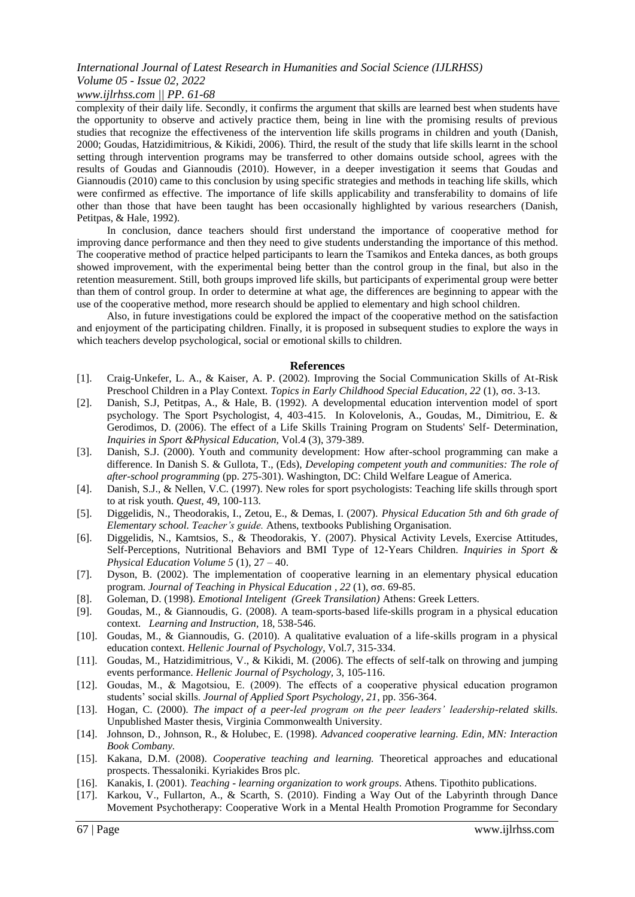#### *www.ijlrhss.com || PP. 61-68*

complexity of their daily life. Secondly, it confirms the argument that skills are learned best when students have the opportunity to observe and actively practice them, being in line with the promising results of previous studies that recognize the effectiveness of the intervention life skills programs in children and youth (Danish, 2000; Goudas, Hatzidimitrious, & Kikidi, 2006). Third, the result of the study that life skills learnt in the school setting through intervention programs may be transferred to other domains outside school, agrees with the results of Goudas and Giannoudis (2010). However, in a deeper investigation it seems that Goudas and Giannoudis (2010) came to this conclusion by using specific strategies and methods in teaching life skills, which were confirmed as effective. The importance of life skills applicability and transferability to domains of life other than those that have been taught has been occasionally highlighted by various researchers (Danish, Petitpas, & Hale, 1992).

In conclusion, dance teachers should first understand the importance of cooperative method for improving dance performance and then they need to give students understanding the importance of this method. The cooperative method of practice helped participants to learn the Tsamikos and Enteka dances, as both groups showed improvement, with the experimental being better than the control group in the final, but also in the retention measurement. Still, both groups improved life skills, but participants of experimental group were better than them of control group. In order to determine at what age, the differences are beginning to appear with the use of the cooperative method, more research should be applied to elementary and high school children.

Also, in future investigations could be explored the impact of the cooperative method on the satisfaction and enjoyment of the participating children. Finally, it is proposed in subsequent studies to explore the ways in which teachers develop psychological, social or emotional skills to children.

#### **References**

- [1]. Craig-Unkefer, L. A., & Kaiser, A. P. (2002). Improving the Social Communication Skills of At-Risk Preschool Children in a Play Context. *Topics in Early Childhood Special Education, 22* (1), σσ. 3-13.
- [2]. Danish, S.J, Petitpas, A., & Hale, B. (1992). A developmental education intervention model of sport psychology. The Sport Psychologist, 4, 403-415. In Kolovelonis, A., Goudas, M., Dimitriou, E. & Gerodimos, D. (2006). The effect of a Life Skills Training Program on Students' Self- Determination, *Inquiries in Sport &Physical Education,* Vol.4 (3), 379-389.
- [3]. Danish, S.J. (2000). Youth and community development: How after-school programming can make a difference. In Danish S. & Gullota, T., (Eds), *Developing competent youth and communities: The role of after-school programming* (pp. 275-301). Washington, DC: Child Welfare League of America.
- [4]. Danish, S.J., & Nellen, V.C. (1997). New roles for sport psychologists: Teaching life skills through sport to at risk youth. *Quest,* 49, 100-113.
- [5]. Diggelidis, N., Theodorakis, I., Zetou, E., & Demas, I. (2007). *Physical Education 5th and 6th grade of Elementary school. Teacher's guide.* Athens, textbooks Publishing Organisation.
- [6]. Diggelidis, Ν., Kamtsios, S., & Theodorakis, Y. (2007). Physical Activity Levels, Exercise Attitudes, Self-Perceptions, Nutritional Behaviors and BMI Type of 12-Years Children. *Inquiries in Sport & Physical Education Volume 5* (1), 27 – 40.
- [7]. Dyson, B. (2002). The implementation of cooperative learning in an elementary physical education program. *Journal of Teaching in Physical Education , 22* (1), σσ. 69-85.
- [8]. Goleman, D. (1998). *Emotional Inteligent (Greek Transilation)* Athens: Greek Letters.
- [9]. Goudas, M., & Giannoudis, G. (2008). A team-sports-based life-skills program in a physical education context. *Learning and Instruction,* 18, 538-546.
- [10]. Goudas, M., & Giannoudis, G. (2010). A qualitative evaluation of a life-skills program in a physical education context. *Hellenic Journal of Psychology*, Vol.7, 315-334.
- [11]. Goudas, M., Hatzidimitrious, V., & Kikidi, M. (2006). The effects of self-talk on throwing and jumping events performance. *Hellenic Journal of Psychology,* 3, 105-116.
- [12]. Goudas, M., & Magotsiou, E. (2009). The effects of a cooperative physical education programon students' social skills. *Journal of Applied Sport Psychology, 21*, pp. 356-364.
- [13]. Hogan, C. (2000). *The impact of a peer-led program on the peer leaders' leadership-related skills.* Unpublished Master thesis, Virginia Commonwealth University.
- [14]. Johnson, D., Johnson, R., & Holubec, E. (1998). *Advanced cooperative learning. Edin, MN: Interaction Book Combany.*
- [15]. Kakana, D.M. (2008). *Cooperative teaching and learning.* Theoretical approaches and educational prospects. Thessaloniki. Kyriakides Bros plc.
- [16]. Kanakis, I. (2001). *Teaching - learning organization to work groups*. Athens. Tipothito publications.
- [17]. Karkou, V., Fullarton, A., & Scarth, S. (2010). Finding a Way Out of the Labyrinth through Dance Movement Psychotherapy: Cooperative Work in a Mental Health Promotion Programme for Secondary